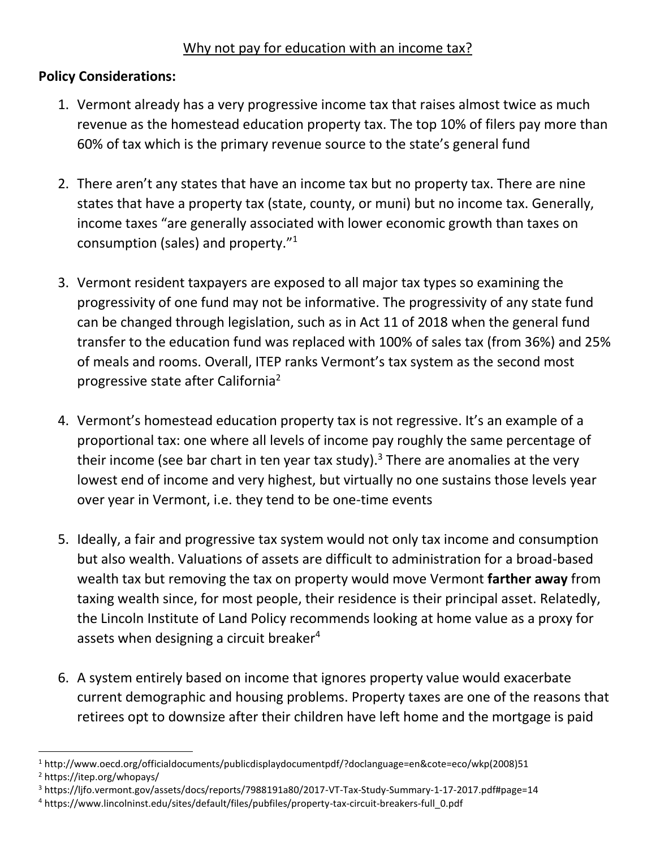## Why not pay for education with an income tax?

## **Policy Considerations:**

l

- 1. Vermont already has a very progressive income tax that raises almost twice as much revenue as the homestead education property tax. The top 10% of filers pay more than 60% of tax which is the primary revenue source to the state's general fund
- 2. There aren't any states that have an income tax but no property tax. There are nine states that have a property tax (state, county, or muni) but no income tax. Generally, income taxes "are generally associated with lower economic growth than taxes on consumption (sales) and property."<sup>1</sup>
- 3. Vermont resident taxpayers are exposed to all major tax types so examining the progressivity of one fund may not be informative. The progressivity of any state fund can be changed through legislation, such as in Act 11 of 2018 when the general fund transfer to the education fund was replaced with 100% of sales tax (from 36%) and 25% of meals and rooms. Overall, ITEP ranks Vermont's tax system as the second most progressive state after California<sup>2</sup>
- 4. Vermont's homestead education property tax is not regressive. It's an example of a proportional tax: one where all levels of income pay roughly the same percentage of their income (see bar chart in ten year tax study).<sup>3</sup> There are anomalies at the very lowest end of income and very highest, but virtually no one sustains those levels year over year in Vermont, i.e. they tend to be one-time events
- 5. Ideally, a fair and progressive tax system would not only tax income and consumption but also wealth. Valuations of assets are difficult to administration for a broad-based wealth tax but removing the tax on property would move Vermont **farther away** from taxing wealth since, for most people, their residence is their principal asset. Relatedly, the Lincoln Institute of Land Policy recommends looking at home value as a proxy for assets when designing a circuit breaker<sup>4</sup>
- 6. A system entirely based on income that ignores property value would exacerbate current demographic and housing problems. Property taxes are one of the reasons that retirees opt to downsize after their children have left home and the mortgage is paid

<sup>1</sup> http://www.oecd.org/officialdocuments/publicdisplaydocumentpdf/?doclanguage=en&cote=eco/wkp(2008)51 <sup>2</sup> https://itep.org/whopays/

<sup>3</sup> https://ljfo.vermont.gov/assets/docs/reports/7988191a80/2017-VT-Tax-Study-Summary-1-17-2017.pdf#page=14

<sup>4</sup> https://www.lincolninst.edu/sites/default/files/pubfiles/property-tax-circuit-breakers-full\_0.pdf